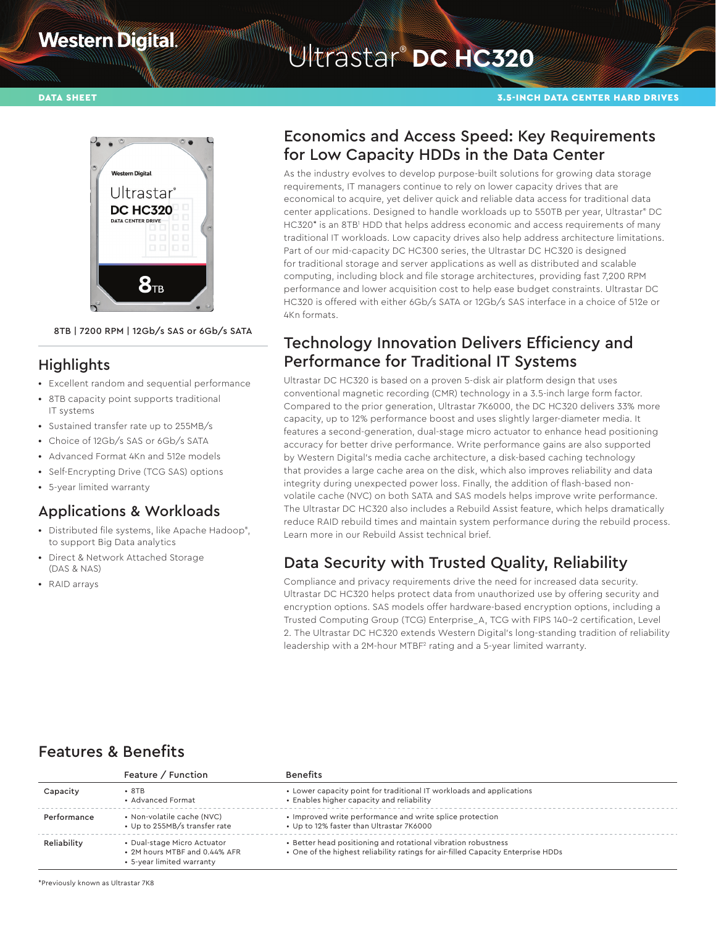## **Western Digital**

## Ultrastar® **DC HC320**

#### DATA SHEET 3.5-INCH DATA CENTER HARD DRIVES



8TB | 7200 RPM | 12Gb/s SAS or 6Gb/s SATA

#### **Highlights**

- **•** Excellent random and sequential performance
- **•** 8TB capacity point supports traditional IT systems
- **•** Sustained transfer rate up to 255MB/s
- **•** Choice of 12Gb/s SAS or 6Gb/s SATA
- **•** Advanced Format 4Kn and 512e models
- **•** Self-Encrypting Drive (TCG SAS) options
- **•** 5-year limited warranty

### Applications & Workloads

- **•** Distributed file systems, like Apache Hadoop® , to support Big Data analytics
- **•** Direct & Network Attached Storage (DAS & NAS)
- **•** RAID arrays

## Economics and Access Speed: Key Requirements for Low Capacity HDDs in the Data Center

As the industry evolves to develop purpose-built solutions for growing data storage requirements, IT managers continue to rely on lower capacity drives that are economical to acquire, yet deliver quick and reliable data access for traditional data center applications. Designed to handle workloads up to 550TB per year, Ultrastar® DC HC320\* is an 8TB1 HDD that helps address economic and access requirements of many traditional IT workloads. Low capacity drives also help address architecture limitations. Part of our mid-capacity DC HC300 series, the Ultrastar DC HC320 is designed for traditional storage and server applications as well as distributed and scalable computing, including block and file storage architectures, providing fast 7,200 RPM performance and lower acquisition cost to help ease budget constraints. Ultrastar DC HC320 is offered with either 6Gb/s SATA or 12Gb/s SAS interface in a choice of 512e or 4Kn formats.

## Technology Innovation Delivers Efficiency and Performance for Traditional IT Systems

Ultrastar DC HC320 is based on a proven 5-disk air platform design that uses conventional magnetic recording (CMR) technology in a 3.5-inch large form factor. Compared to the prior generation, Ultrastar 7K6000, the DC HC320 delivers 33% more capacity, up to 12% performance boost and uses slightly larger-diameter media. It features a second-generation, dual-stage micro actuator to enhance head positioning accuracy for better drive performance. Write performance gains are also supported by Western Digital's media cache architecture, a disk-based caching technology that provides a large cache area on the disk, which also improves reliability and data integrity during unexpected power loss. Finally, the addition of flash-based nonvolatile cache (NVC) on both SATA and SAS models helps improve write performance. The Ultrastar DC HC320 also includes a Rebuild Assist feature, which helps dramatically reduce RAID rebuild times and maintain system performance during the rebuild process. Learn more in our Rebuild Assist technical brief.

## Data Security with Trusted Quality, Reliability

Compliance and privacy requirements drive the need for increased data security. Ultrastar DC HC320 helps protect data from unauthorized use by offering security and encryption options. SAS models offer hardware-based encryption options, including a Trusted Computing Group (TCG) Enterprise\_A, TCG with FIPS 140-2 certification, Level 2. The Ultrastar DC HC320 extends Western Digital's long-standing tradition of reliability leadership with a 2M-hour MTBF<sup>2</sup> rating and a 5-year limited warranty.

## Features & Benefits

|             | Feature / Function                                                                        | <b>Benefits</b>                                                                                                                                   |
|-------------|-------------------------------------------------------------------------------------------|---------------------------------------------------------------------------------------------------------------------------------------------------|
| Capacity    | $\cdot$ 8TB<br>• Advanced Format                                                          | • Lower capacity point for traditional IT workloads and applications<br>• Enables higher capacity and reliability                                 |
| Performance | • Non-volatile cache (NVC)<br>• Up to 255MB/s transfer rate                               | • Improved write performance and write splice protection<br>• Up to 12% faster than Ultrastar 7K6000                                              |
| Reliability | • Dual-stage Micro Actuator<br>• 2M hours MTBF and 0.44% AFR<br>• 5-year limited warranty | • Better head positioning and rotational vibration robustness<br>. One of the highest reliability ratings for air-filled Capacity Enterprise HDDs |